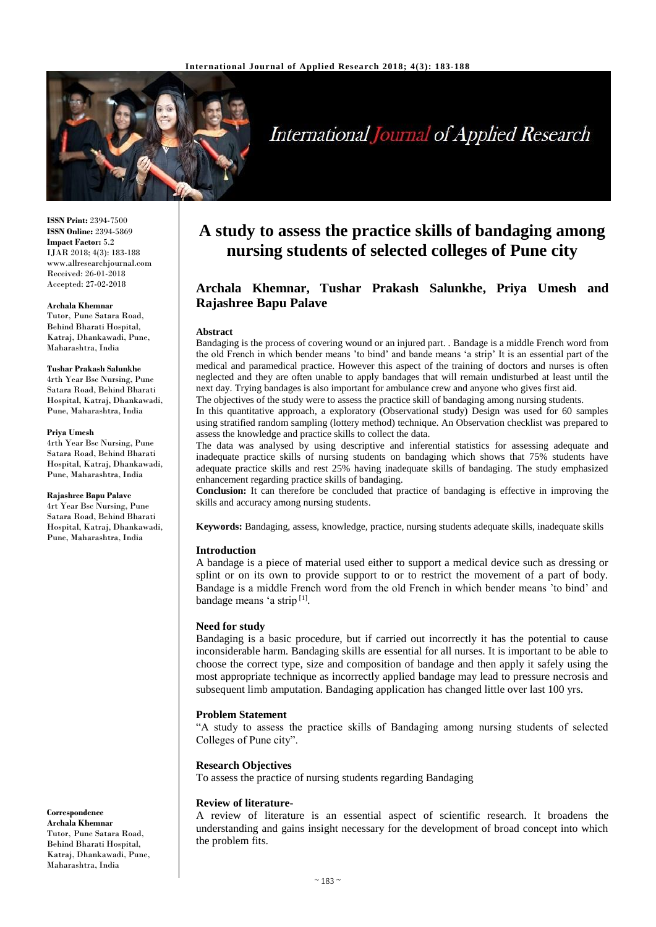

# **International Journal of Applied Research**

**ISSN Print:** 2394-7500 **ISSN Online:** 2394-5869 **Impact Factor:** 5.2 IJAR 2018; 4(3): 183-188 www.allresearchjournal.com Received: 26-01-2018 Accepted: 27-02-2018

#### **Archala Khemnar**

Tutor, Pune Satara Road, Behind Bharati Hospital, Katraj, Dhankawadi, Pune, Maharashtra, India

#### **Tushar Prakash Salunkhe**

4rth Year Bsc Nursing, Pune Satara Road, Behind Bharati Hospital, Katraj, Dhankawadi, Pune, Maharashtra, India

#### **Priya Umesh**

4rth Year Bsc Nursing, Pune Satara Road, Behind Bharati Hospital, Katraj, Dhankawadi, Pune, Maharashtra, India

#### **Rajashree Bapu Palave**

4rt Year Bsc Nursing, Pune Satara Road, Behind Bharati Hospital, Katraj, Dhankawadi, Pune, Maharashtra, India

**Correspondence Archala Khemnar** Tutor, Pune Satara Road, Behind Bharati Hospital, Katraj, Dhankawadi, Pune, Maharashtra, India

## **A study to assess the practice skills of bandaging among nursing students of selected colleges of Pune city**

## **Archala Khemnar, Tushar Prakash Salunkhe, Priya Umesh and Rajashree Bapu Palave**

#### **Abstract**

Bandaging is the process of covering wound or an injured part. . Bandage is a middle French word from the old French in which bender means 'to bind' and bande means 'a strip' It is an essential part of the medical and paramedical practice. However this aspect of the training of doctors and nurses is often neglected and they are often unable to apply bandages that will remain undisturbed at least until the next day. Trying bandages is also important for ambulance crew and anyone who gives first aid.

The objectives of the study were to assess the practice skill of bandaging among nursing students.

In this quantitative approach, a exploratory (Observational study) Design was used for 60 samples using stratified random sampling (lottery method) technique. An Observation checklist was prepared to assess the knowledge and practice skills to collect the data.

The data was analysed by using descriptive and inferential statistics for assessing adequate and inadequate practice skills of nursing students on bandaging which shows that 75% students have adequate practice skills and rest 25% having inadequate skills of bandaging. The study emphasized enhancement regarding practice skills of bandaging.

**Conclusion:** It can therefore be concluded that practice of bandaging is effective in improving the skills and accuracy among nursing students.

**Keywords:** Bandaging, assess, knowledge, practice, nursing students adequate skills, inadequate skills

#### **Introduction**

A bandage is a piece of material used either to support a medical device such as dressing or splint or on its own to provide support to or to restrict the movement of a part of body. Bandage is a middle French word from the old French in which bender means 'to bind' and bandage means 'a strip<sup>[1]</sup>.

#### **Need for study**

Bandaging is a basic procedure, but if carried out incorrectly it has the potential to cause inconsiderable harm. Bandaging skills are essential for all nurses. It is important to be able to choose the correct type, size and composition of bandage and then apply it safely using the most appropriate technique as incorrectly applied bandage may lead to pressure necrosis and subsequent limb amputation. Bandaging application has changed little over last 100 yrs.

#### **Problem Statement**

"A study to assess the practice skills of Bandaging among nursing students of selected Colleges of Pune city".

#### **Research Objectives**

To assess the practice of nursing students regarding Bandaging

#### **Review of literature**-

A review of literature is an essential aspect of scientific research. It broadens the understanding and gains insight necessary for the development of broad concept into which the problem fits.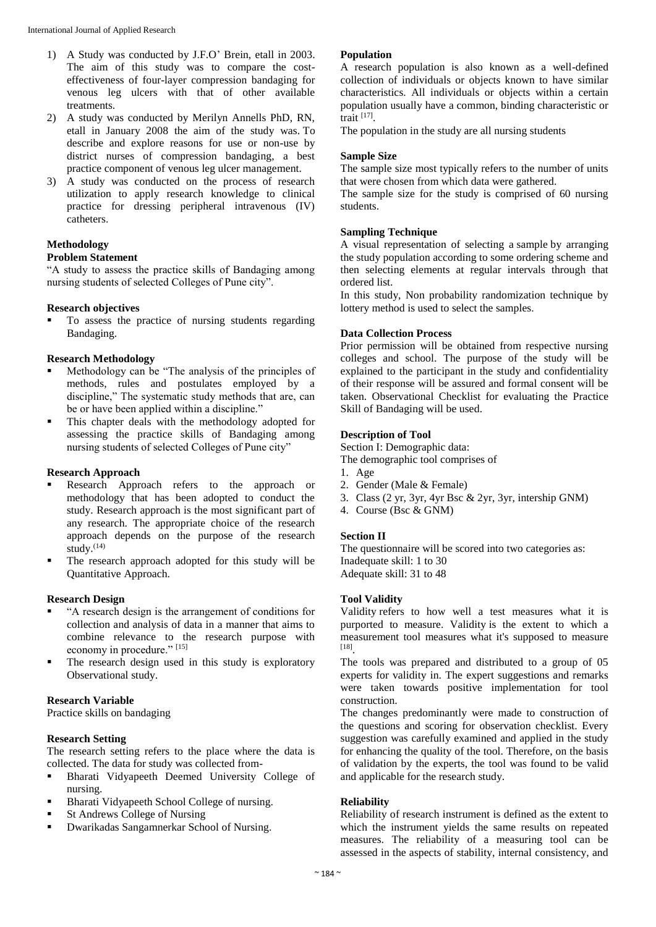- 1) A Study was conducted by J.F.O' Brein, etall in 2003. The aim of this study was to compare the costeffectiveness of four-layer compression bandaging for venous leg ulcers with that of other available treatments.
- 2) A study was conducted by Merilyn Annells PhD, RN, etall in January 2008 the aim of the study was. To describe and explore reasons for use or non-use by district nurses of compression bandaging, a best practice component of venous leg ulcer management.
- 3) A study was conducted on the process of research utilization to apply research knowledge to clinical practice for dressing peripheral intravenous (IV) catheters.

## **Methodology**

## **Problem Statement**

"A study to assess the practice skills of Bandaging among nursing students of selected Colleges of Pune city".

## **Research objectives**

 To assess the practice of nursing students regarding Bandaging.

## **Research Methodology**

- Methodology can be "The analysis of the principles of methods, rules and postulates employed by a discipline," The systematic study methods that are, can be or have been applied within a discipline."
- This chapter deals with the methodology adopted for assessing the practice skills of Bandaging among nursing students of selected Colleges of Pune city"

## **Research Approach**

- Research Approach refers to the approach or methodology that has been adopted to conduct the study. Research approach is the most significant part of any research. The appropriate choice of the research approach depends on the purpose of the research study. $(14)$
- The research approach adopted for this study will be Quantitative Approach.

## **Research Design**

- "A research design is the arrangement of conditions for collection and analysis of data in a manner that aims to combine relevance to the research purpose with economy in procedure." [15]
- The research design used in this study is exploratory Observational study.

## **Research Variable**

Practice skills on bandaging

## **Research Setting**

The research setting refers to the place where the data is collected. The data for study was collected from-

- Bharati Vidyapeeth Deemed University College of nursing.
- Bharati Vidyapeeth School College of nursing.
- St Andrews College of Nursing
- Dwarikadas Sangamnerkar School of Nursing.

## **Population**

A research population is also known as a well-defined collection of individuals or objects known to have similar characteristics. All individuals or objects within a certain population usually have a common, binding characteristic or trait [17] .

The population in the study are all nursing students

## **Sample Size**

The sample size most typically refers to the number of units that were chosen from which data were gathered.

The sample size for the study is comprised of 60 nursing students.

## **Sampling Technique**

A visual representation of selecting a sample by arranging the study population according to some ordering scheme and then selecting elements at regular intervals through that ordered list.

In this study, Non probability randomization technique by lottery method is used to select the samples.

## **Data Collection Process**

Prior permission will be obtained from respective nursing colleges and school. The purpose of the study will be explained to the participant in the study and confidentiality of their response will be assured and formal consent will be taken. Observational Checklist for evaluating the Practice Skill of Bandaging will be used.

## **Description of Tool**

Section I: Demographic data:

The demographic tool comprises of

- 1. Age
- 2. Gender (Male & Female)
- 3. Class (2 yr, 3yr, 4yr Bsc & 2yr, 3yr, intership GNM)
- 4. Course (Bsc & GNM)

#### **Section II**

The questionnaire will be scored into two categories as: Inadequate skill: 1 to 30 Adequate skill: 31 to 48

#### **Tool Validity**

Validity refers to how well a test measures what it is purported to measure. Validity is the extent to which a measurement tool measures what it's supposed to measure [18] .

The tools was prepared and distributed to a group of 05 experts for validity in. The expert suggestions and remarks were taken towards positive implementation for tool construction.

The changes predominantly were made to construction of the questions and scoring for observation checklist. Every suggestion was carefully examined and applied in the study for enhancing the quality of the tool. Therefore, on the basis of validation by the experts, the tool was found to be valid and applicable for the research study.

## **Reliability**

Reliability of research instrument is defined as the extent to which the instrument yields the same results on repeated measures. The reliability of a measuring tool can be assessed in the aspects of stability, internal consistency, and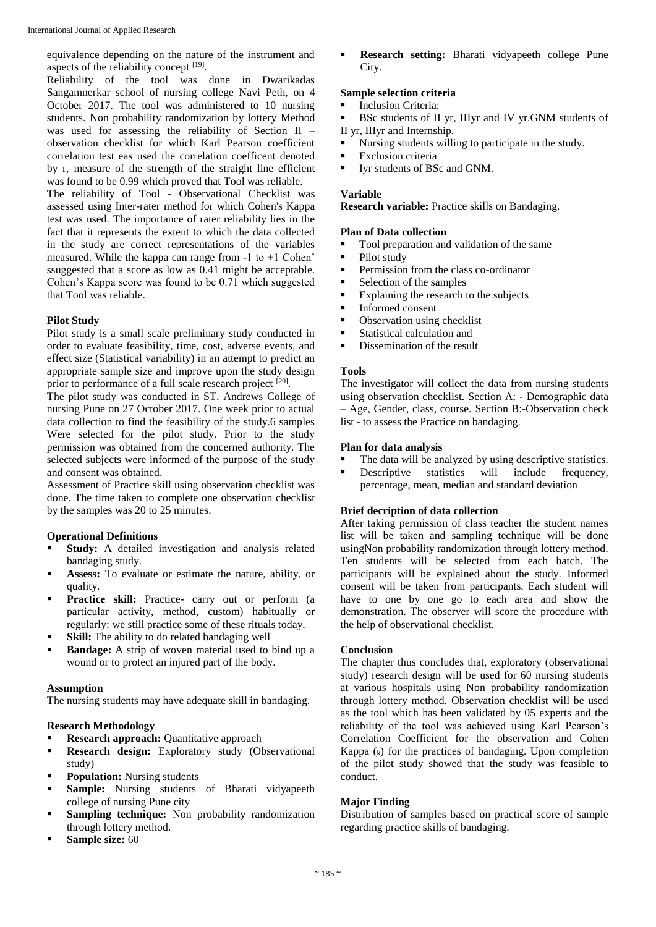equivalence depending on the nature of the instrument and aspects of the reliability concept  $[19]$ .

Reliability of the tool was done in Dwarikadas Sangamnerkar school of nursing college Navi Peth, on 4 October 2017. The tool was administered to 10 nursing students. Non probability randomization by lottery Method was used for assessing the reliability of Section II – observation checklist for which Karl Pearson coefficient correlation test eas used the correlation coefficent denoted by r, measure of the strength of the straight line efficient was found to be 0.99 which proved that Tool was reliable.

The reliability of Tool - Observational Checklist was assessed using Inter-rater method for which Cohen's Kappa test was used. The importance of rater reliability lies in the fact that it represents the extent to which the data collected in the study are correct representations of the variables measured. While the kappa can range from -1 to +1 Cohen' ssuggested that a score as low as 0.41 might be acceptable. Cohen's Kappa score was found to be 0.71 which suggested that Tool was reliable.

## **Pilot Study**

Pilot study is a small scale preliminary study conducted in order to evaluate feasibility, time, cost, adverse events, and effect size (Statistical variability) in an attempt to predict an appropriate sample size and improve upon the study design prior to performance of a full scale research project [20].

The pilot study was conducted in ST. Andrews College of nursing Pune on 27 October 2017. One week prior to actual data collection to find the feasibility of the study.6 samples Were selected for the pilot study. Prior to the study permission was obtained from the concerned authority. The selected subjects were informed of the purpose of the study and consent was obtained.

Assessment of Practice skill using observation checklist was done. The time taken to complete one observation checklist by the samples was 20 to 25 minutes.

## **Operational Definitions**

- **Study:** A detailed investigation and analysis related bandaging study.
- **Assess:** To evaluate or estimate the nature, ability, or quality.
- **Practice skill:** Practice- carry out or perform (a particular activity, method, custom) habitually or regularly: we still practice some of these rituals today.
- **Skill:** The ability to do related bandaging well
- **Bandage:** A strip of woven material used to bind up a wound or to protect an injured part of the body.

#### **Assumption**

The nursing students may have adequate skill in bandaging.

#### **Research Methodology**

- **Research approach:** Quantitative approach
- **Research design:** Exploratory study (Observational study)
- **Population:** Nursing students
- **Sample:** Nursing students of Bharati vidyapeeth college of nursing Pune city
- **Sampling technique:** Non probability randomization through lottery method.
- **Sample size:** 60

 **Research setting:** Bharati vidyapeeth college Pune City.

## **Sample selection criteria**

- Inclusion Criteria:
- BSc students of II yr, IIIyr and IV yr.GNM students of II yr, IIIyr and Internship.
- 
- Nursing students willing to participate in the study.
- Exclusion criteria
- Iyr students of BSc and GNM.

#### **Variable**

**Research variable:** Practice skills on Bandaging.

#### **Plan of Data collection**

- Tool preparation and validation of the same
- Pilot study
- **Permission from the class co-ordinator**
- Selection of the samples
- Explaining the research to the subjects<br>
Informed consent
- Informed consent
- Observation using checklist
- **Statistical calculation and**
- **Dissemination of the result**

## **Tools**

The investigator will collect the data from nursing students using observation checklist. Section A: - Demographic data – Age, Gender, class, course. Section B:-Observation check list - to assess the Practice on bandaging.

#### **Plan for data analysis**

- The data will be analyzed by using descriptive statistics.<br>■ Descriptive statistics will include frequency
- Descriptive statistics will include frequency, percentage, mean, median and standard deviation

## **Brief decription of data collection**

After taking permission of class teacher the student names list will be taken and sampling technique will be done usingNon probability randomization through lottery method. Ten students will be selected from each batch. The participants will be explained about the study. Informed consent will be taken from participants. Each student will have to one by one go to each area and show the demonstration. The observer will score the procedure with the help of observational checklist.

## **Conclusion**

The chapter thus concludes that, exploratory (observational study) research design will be used for 60 nursing students at various hospitals using Non probability randomization through lottery method. Observation checklist will be used as the tool which has been validated by 05 experts and the reliability of the tool was achieved using Karl Pearson's Correlation Coefficient for the observation and Cohen Kappa  $(k)$  for the practices of bandaging. Upon completion of the pilot study showed that the study was feasible to conduct.

## **Major Finding**

Distribution of samples based on practical score of sample regarding practice skills of bandaging.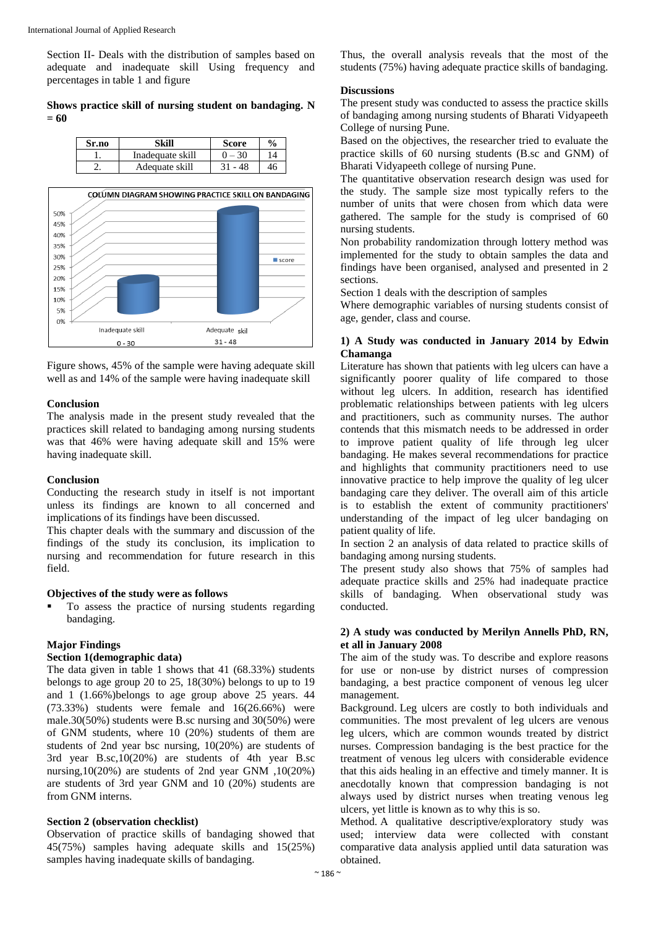Section II- Deals with the distribution of samples based on adequate and inadequate skill Using frequency and percentages in table 1 and figure

## **Shows practice skill of nursing student on bandaging. N = 60**

| Sr.no | Skill            | <b>Score</b> | $\frac{0}{0}$ |
|-------|------------------|--------------|---------------|
|       | Inadequate skill |              | 14            |
|       | Adequate skill   | 31<br>48     | 46            |



Figure shows, 45% of the sample were having adequate skill well as and 14% of the sample were having inadequate skill

#### **Conclusion**

The analysis made in the present study revealed that the practices skill related to bandaging among nursing students was that 46% were having adequate skill and 15% were having inadequate skill.

## **Conclusion**

Conducting the research study in itself is not important unless its findings are known to all concerned and implications of its findings have been discussed.

This chapter deals with the summary and discussion of the findings of the study its conclusion, its implication to nursing and recommendation for future research in this field.

#### **Objectives of the study were as follows**

 To assess the practice of nursing students regarding bandaging.

## **Major Findings**

## **Section 1(demographic data)**

The data given in table 1 shows that 41 (68.33%) students belongs to age group 20 to 25, 18(30%) belongs to up to 19 and 1 (1.66%)belongs to age group above 25 years. 44 (73.33%) students were female and 16(26.66%) were male.30(50%) students were B.sc nursing and 30(50%) were of GNM students, where 10 (20%) students of them are students of 2nd year bsc nursing, 10(20%) are students of 3rd year B.sc,10(20%) are students of 4th year B.sc nursing,10(20%) are students of 2nd year GNM ,10(20%) are students of 3rd year GNM and 10 (20%) students are from GNM interns.

#### **Section 2 (observation checklist)**

Observation of practice skills of bandaging showed that 45(75%) samples having adequate skills and 15(25%) samples having inadequate skills of bandaging.

Thus, the overall analysis reveals that the most of the students (75%) having adequate practice skills of bandaging.

## **Discussions**

The present study was conducted to assess the practice skills of bandaging among nursing students of Bharati Vidyapeeth College of nursing Pune.

Based on the objectives, the researcher tried to evaluate the practice skills of 60 nursing students (B.sc and GNM) of Bharati Vidyapeeth college of nursing Pune.

The quantitative observation research design was used for the study. The sample size most typically refers to the number of units that were chosen from which data were gathered. The sample for the study is comprised of 60 nursing students.

Non probability randomization through lottery method was implemented for the study to obtain samples the data and findings have been organised, analysed and presented in 2 sections.

Section 1 deals with the description of samples

Where demographic variables of nursing students consist of age, gender, class and course.

## **1) A Study was conducted in January 2014 by Edwin Chamanga**

Literature has shown that patients with leg ulcers can have a significantly poorer quality of life compared to those without leg ulcers. In addition, research has identified problematic relationships between patients with leg ulcers and practitioners, such as community nurses. The author contends that this mismatch needs to be addressed in order to improve patient quality of life through leg ulcer bandaging. He makes several recommendations for practice and highlights that community practitioners need to use innovative practice to help improve the quality of leg ulcer bandaging care they deliver. The overall aim of this article is to establish the extent of community practitioners' understanding of the impact of leg ulcer bandaging on patient quality of life.

In section 2 an analysis of data related to practice skills of bandaging among nursing students.

The present study also shows that 75% of samples had adequate practice skills and 25% had inadequate practice skills of bandaging. When observational study was conducted.

## **2) A study was conducted by Merilyn Annells PhD, RN, et all in January 2008**

The aim of the study was. To describe and explore reasons for use or non-use by district nurses of compression bandaging, a best practice component of venous leg ulcer management.

Background. Leg ulcers are costly to both individuals and communities. The most prevalent of leg ulcers are venous leg ulcers, which are common wounds treated by district nurses. Compression bandaging is the best practice for the treatment of venous leg ulcers with considerable evidence that this aids healing in an effective and timely manner. It is anecdotally known that compression bandaging is not always used by district nurses when treating venous leg ulcers, yet little is known as to why this is so.

Method. A qualitative descriptive/exploratory study was used; interview data were collected with constant comparative data analysis applied until data saturation was obtained.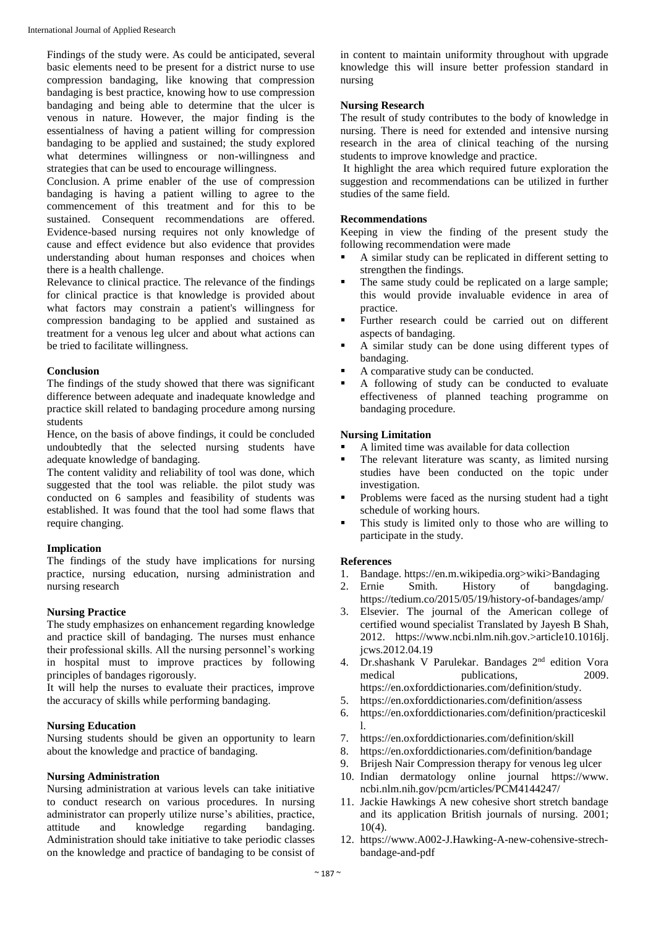Findings of the study were. As could be anticipated, several basic elements need to be present for a district nurse to use compression bandaging, like knowing that compression bandaging is best practice, knowing how to use compression bandaging and being able to determine that the ulcer is venous in nature. However, the major finding is the essentialness of having a patient willing for compression bandaging to be applied and sustained; the study explored what determines willingness or non-willingness and strategies that can be used to encourage willingness.

Conclusion. A prime enabler of the use of compression bandaging is having a patient willing to agree to the commencement of this treatment and for this to be sustained. Consequent recommendations are offered. Evidence-based nursing requires not only knowledge of cause and effect evidence but also evidence that provides understanding about human responses and choices when there is a health challenge.

Relevance to clinical practice. The relevance of the findings for clinical practice is that knowledge is provided about what factors may constrain a patient's willingness for compression bandaging to be applied and sustained as treatment for a venous leg ulcer and about what actions can be tried to facilitate willingness.

## **Conclusion**

The findings of the study showed that there was significant difference between adequate and inadequate knowledge and practice skill related to bandaging procedure among nursing students

Hence, on the basis of above findings, it could be concluded undoubtedly that the selected nursing students have adequate knowledge of bandaging.

The content validity and reliability of tool was done, which suggested that the tool was reliable. the pilot study was conducted on 6 samples and feasibility of students was established. It was found that the tool had some flaws that require changing.

## **Implication**

The findings of the study have implications for nursing practice, nursing education, nursing administration and nursing research

## **Nursing Practice**

The study emphasizes on enhancement regarding knowledge and practice skill of bandaging. The nurses must enhance their professional skills. All the nursing personnel's working in hospital must to improve practices by following principles of bandages rigorously.

It will help the nurses to evaluate their practices, improve the accuracy of skills while performing bandaging.

## **Nursing Education**

Nursing students should be given an opportunity to learn about the knowledge and practice of bandaging.

#### **Nursing Administration**

Nursing administration at various levels can take initiative to conduct research on various procedures. In nursing administrator can properly utilize nurse's abilities, practice, attitude and knowledge regarding bandaging. Administration should take initiative to take periodic classes on the knowledge and practice of bandaging to be consist of

in content to maintain uniformity throughout with upgrade knowledge this will insure better profession standard in nursing

## **Nursing Research**

The result of study contributes to the body of knowledge in nursing. There is need for extended and intensive nursing research in the area of clinical teaching of the nursing students to improve knowledge and practice.

It highlight the area which required future exploration the suggestion and recommendations can be utilized in further studies of the same field.

## **Recommendations**

Keeping in view the finding of the present study the following recommendation were made

- A similar study can be replicated in different setting to strengthen the findings.
- The same study could be replicated on a large sample; this would provide invaluable evidence in area of practice.
- Further research could be carried out on different aspects of bandaging.
- A similar study can be done using different types of bandaging.
- A comparative study can be conducted.
- A following of study can be conducted to evaluate effectiveness of planned teaching programme on bandaging procedure.

## **Nursing Limitation**

- A limited time was available for data collection
- The relevant literature was scanty, as limited nursing studies have been conducted on the topic under investigation.
- Problems were faced as the nursing student had a tight schedule of working hours.
- This study is limited only to those who are willing to participate in the study.

#### **References**

- 1. Bandage. https://en.m.wikipedia.org>wiki>Bandaging
- 2. Ernie Smith. History of bangdaging. https://tedium.co/2015/05/19/history-of-bandages/amp/
- 3. Elsevier. The journal of the American college of certified wound specialist Translated by Jayesh B Shah, 2012. https://www.ncbi.nlm.nih.gov.>article10.1016lj. jcws.2012.04.19
- 4. Dr.shashank V Parulekar. Bandages 2<sup>nd</sup> edition Vora medical publications, 2009. https://en.oxforddictionaries.com/definition/study.
- 5. https://en.oxforddictionaries.com/definition/assess
- 6. https://en.oxforddictionaries.com/definition/practiceskil l.
- 7. https://en.oxforddictionaries.com/definition/skill
- 8. https://en.oxforddictionaries.com/definition/bandage
- 9. Brijesh Nair Compression therapy for venous leg ulcer
- 10. Indian dermatology online journal https://www. ncbi.nlm.nih.gov/pcm/articles/PCM4144247/
- 11. Jackie Hawkings A new cohesive short stretch bandage and its application British journals of nursing. 2001;  $10(4)$ .
- 12. https://www.A002-J.Hawking-A-new-cohensive-strechbandage-and-pdf